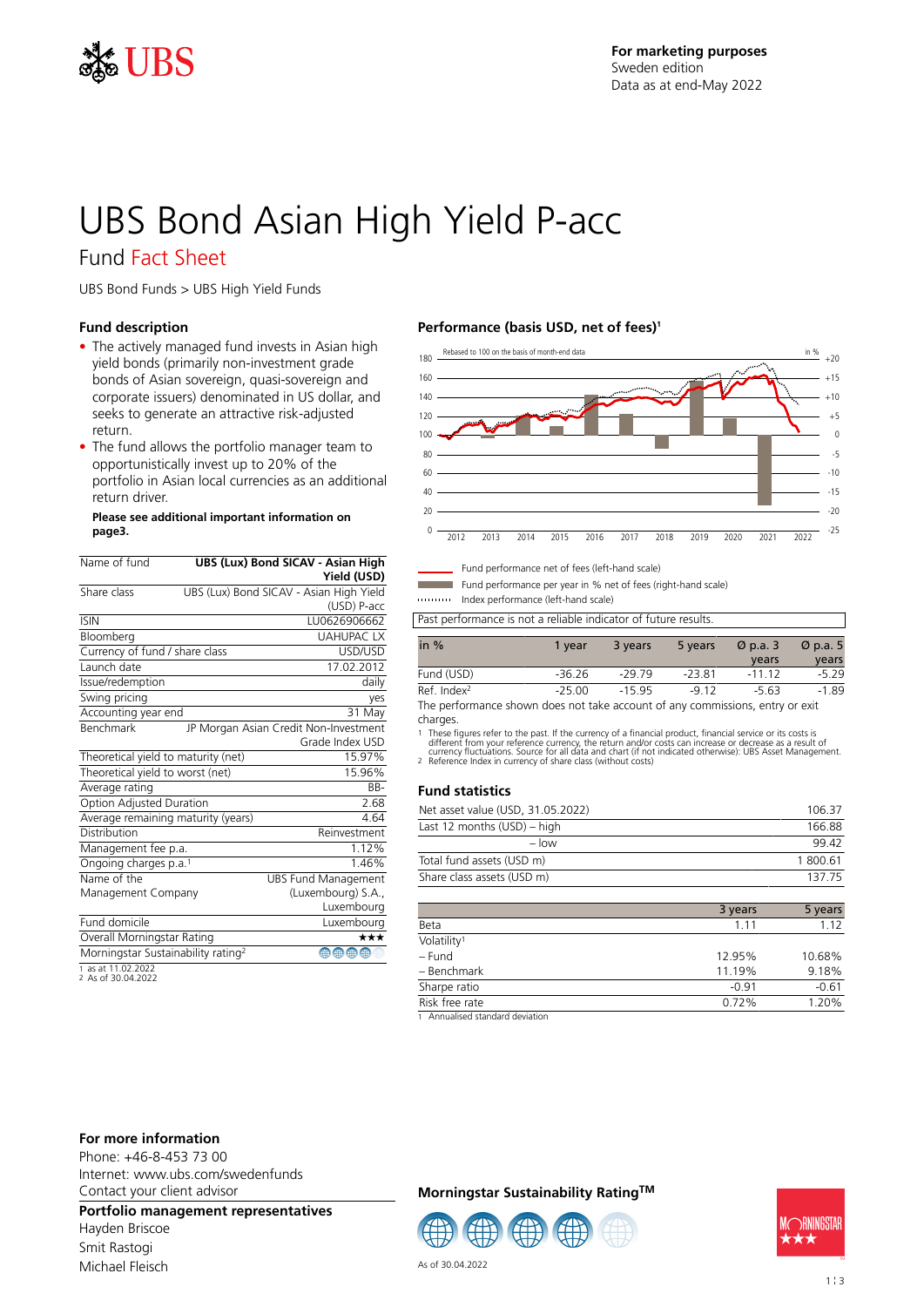

# UBS Bond Asian High Yield P-acc

### Fund Fact Sheet

UBS Bond Funds > UBS High Yield Funds

### **Fund description**

- The actively managed fund invests in Asian high yield bonds (primarily non-investment grade bonds of Asian sovereign, quasi-sovereign and corporate issuers) denominated in US dollar, and seeks to generate an attractive risk-adjusted return.
- The fund allows the portfolio manager team to opportunistically invest up to 20% of the portfolio in Asian local currencies as an additional return driver.

#### **Please see additional important information on page3.**

| Name of fund                                   |                                    | <b>UBS (Lux) Bond SICAV - Asian High</b><br>Yield (USD) |
|------------------------------------------------|------------------------------------|---------------------------------------------------------|
| Share class                                    |                                    | UBS (Lux) Bond SICAV - Asian High Yield                 |
|                                                |                                    | (USD) P-acc                                             |
| <b>ISIN</b>                                    |                                    | LU0626906662                                            |
| Bloomberg                                      |                                    | <b>UAHUPACLX</b>                                        |
| Currency of fund / share class                 |                                    | USD/USD                                                 |
| Launch date                                    |                                    | 17.02.2012                                              |
| Issue/redemption                               |                                    | daily                                                   |
| Swing pricing                                  |                                    | yes                                                     |
| Accounting year end                            |                                    | 31 May                                                  |
| <b>Benchmark</b>                               |                                    | JP Morgan Asian Credit Non-Investment                   |
|                                                |                                    | Grade Index USD                                         |
| Theoretical yield to maturity (net)            |                                    | 15.97%                                                  |
| Theoretical yield to worst (net)               |                                    | 15.96%                                                  |
| Average rating                                 |                                    | BB-                                                     |
| Option Adjusted Duration                       |                                    | 2.68                                                    |
|                                                | Average remaining maturity (years) | 4.64                                                    |
| Distribution                                   |                                    | Reinvestment                                            |
| Management fee p.a.                            |                                    | 1.12%                                                   |
| Ongoing charges p.a.1                          |                                    | 146%                                                    |
| Name of the                                    |                                    | <b>UBS Fund Management</b>                              |
| Management Company                             |                                    | (Luxembourg) S.A.,                                      |
|                                                |                                    | Luxembourg                                              |
| Fund domicile                                  |                                    | Luxembourg                                              |
| Overall Morningstar Rating                     |                                    | ***                                                     |
| Morningstar Sustainability rating <sup>2</sup> |                                    | 曲曲曲曲                                                    |
| 1 as at 11.02.2022                             |                                    |                                                         |

1 as at 11.02.2022 2 As of 30.04.2022

### **Performance (basis USD, net of fees)<sup>1</sup>**



Fund performance net of fees (left-hand scale)

Fund performance per year in % net of fees (right-hand scale)

Index performance (left-hand scale)

Past performance is not a reliable indicator of future results.

| in $%$                                                                                                           | 1 vear   | 3 years | 5 years  | $\varnothing$ p.a. 3 | $\varnothing$ p.a. 5 |
|------------------------------------------------------------------------------------------------------------------|----------|---------|----------|----------------------|----------------------|
|                                                                                                                  |          |         |          | years                | years                |
| Fund (USD)                                                                                                       | -36.26   | $-2979$ | $-23.81$ | $-1111$              | $-5.29$              |
| Ref. Index <sup>2</sup>                                                                                          | $-25.00$ | $-1595$ | $-912$   | -5.63                | $-1.89$              |
| The configuration of the computer contractions assembly from a construction of service of the contraction of the |          |         |          |                      |                      |

The performance shown does not take account of any commissions, entry or exit charges.

1 These figures refer to the past. If the currency of a financial product, financial service or its costs is<br>different from your reference currency, the return and/or costs can increase or decrease as a result of<br>currency

### **Fund statistics**

| Net asset value (USD, 31.05.2022) | 106.37  |
|-----------------------------------|---------|
| Last 12 months (USD) – high       | 166.88  |
| $-$ low                           | 99.42   |
| Total fund assets (USD m)         | 1800.61 |
| Share class assets (USD m)        | 137 75  |

|                         | 3 years | 5 years |
|-------------------------|---------|---------|
| Beta                    | 1.11    | 1.12    |
| Volatility <sup>1</sup> |         |         |
| - Fund                  | 12.95%  | 10.68%  |
| - Benchmark             | 11.19%  | 9.18%   |
| Sharpe ratio            | $-0.91$ | $-0.61$ |
| Risk free rate          | 0.72%   | 1.20%   |
| .                       |         |         |

1 Annualised standard deviation

#### **For more information**

Phone: +46-8-453 73 00 Internet: www.ubs.com/swedenfunds Contact your client advisor

**Portfolio management representatives**

Hayden Briscoe Smit Rastogi Michael Fleisch

### **Morningstar Sustainability RatingTM**



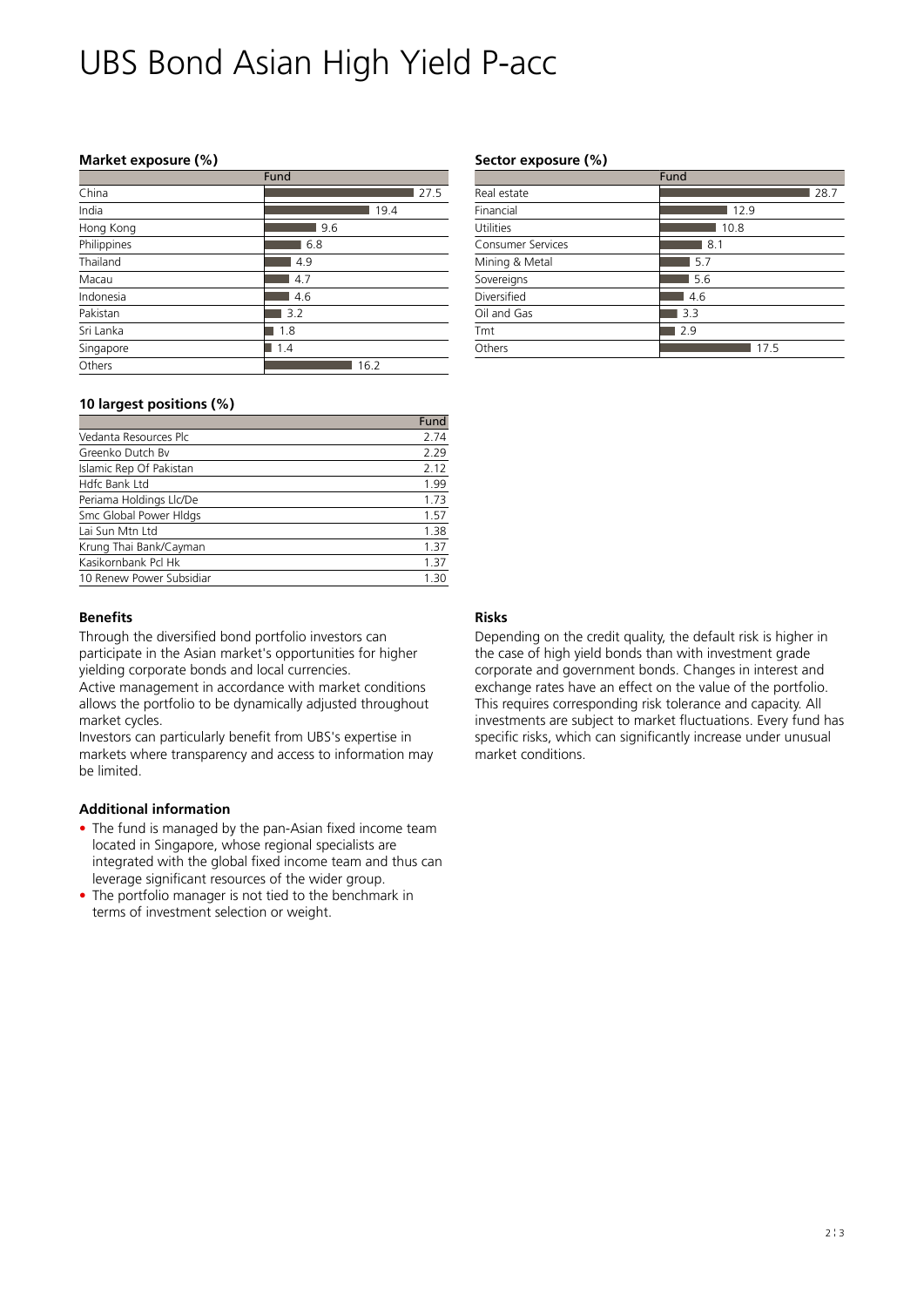## UBS Bond Asian High Yield P-acc

### **Market exposure (%)**

|             | Fund |
|-------------|------|
| China       | 27.5 |
| India       | 19.4 |
| Hong Kong   | 9.6  |
| Philippines | 6.8  |
| Thailand    | 4.9  |
| Macau       | 4.7  |
| Indonesia   | 4.6  |
| Pakistan    | 3.2  |
| Sri Lanka   | 1.8  |
| Singapore   | 1.4  |
| Others      | 16.2 |

### **10 largest positions (%)**

|                          | Fund |
|--------------------------|------|
| Vedanta Resources Plc    | 2.74 |
| Greenko Dutch By         | 2.29 |
| Islamic Rep Of Pakistan  | 2.12 |
| Hdfc Bank Ltd            | 1.99 |
| Periama Holdings Llc/De  | 1.73 |
| Smc Global Power Hldgs   | 1.57 |
| Lai Sun Mtn Ltd          | 1.38 |
| Krung Thai Bank/Cayman   | 1.37 |
| Kasikornbank Pcl Hk      | 1.37 |
| 10 Renew Power Subsidiar | 1.30 |

### **Benefits**

Through the diversified bond portfolio investors can participate in the Asian market's opportunities for higher yielding corporate bonds and local currencies. Active management in accordance with market conditions allows the portfolio to be dynamically adjusted throughout market cycles.

Investors can particularly benefit from UBS's expertise in markets where transparency and access to information may be limited.

### **Additional information**

- The fund is managed by the pan-Asian fixed income team located in Singapore, whose regional specialists are integrated with the global fixed income team and thus can leverage significant resources of the wider group.
- The portfolio manager is not tied to the benchmark in terms of investment selection or weight.

### **Sector exposure (%)**

|                          | Fund |
|--------------------------|------|
| Real estate              | 28.7 |
| Financial                | 12.9 |
| Utilities                | 10.8 |
| <b>Consumer Services</b> | 8.1  |
| Mining & Metal           | 5.7  |
| Sovereigns               | 5.6  |
| Diversified              | 4.6  |
| Oil and Gas              | 3.3  |
| Tmt                      | 2.9  |
| Others                   | 17.5 |

### **Risks**

Depending on the credit quality, the default risk is higher in the case of high yield bonds than with investment grade corporate and government bonds. Changes in interest and exchange rates have an effect on the value of the portfolio. This requires corresponding risk tolerance and capacity. All investments are subject to market fluctuations. Every fund has specific risks, which can significantly increase under unusual market conditions.